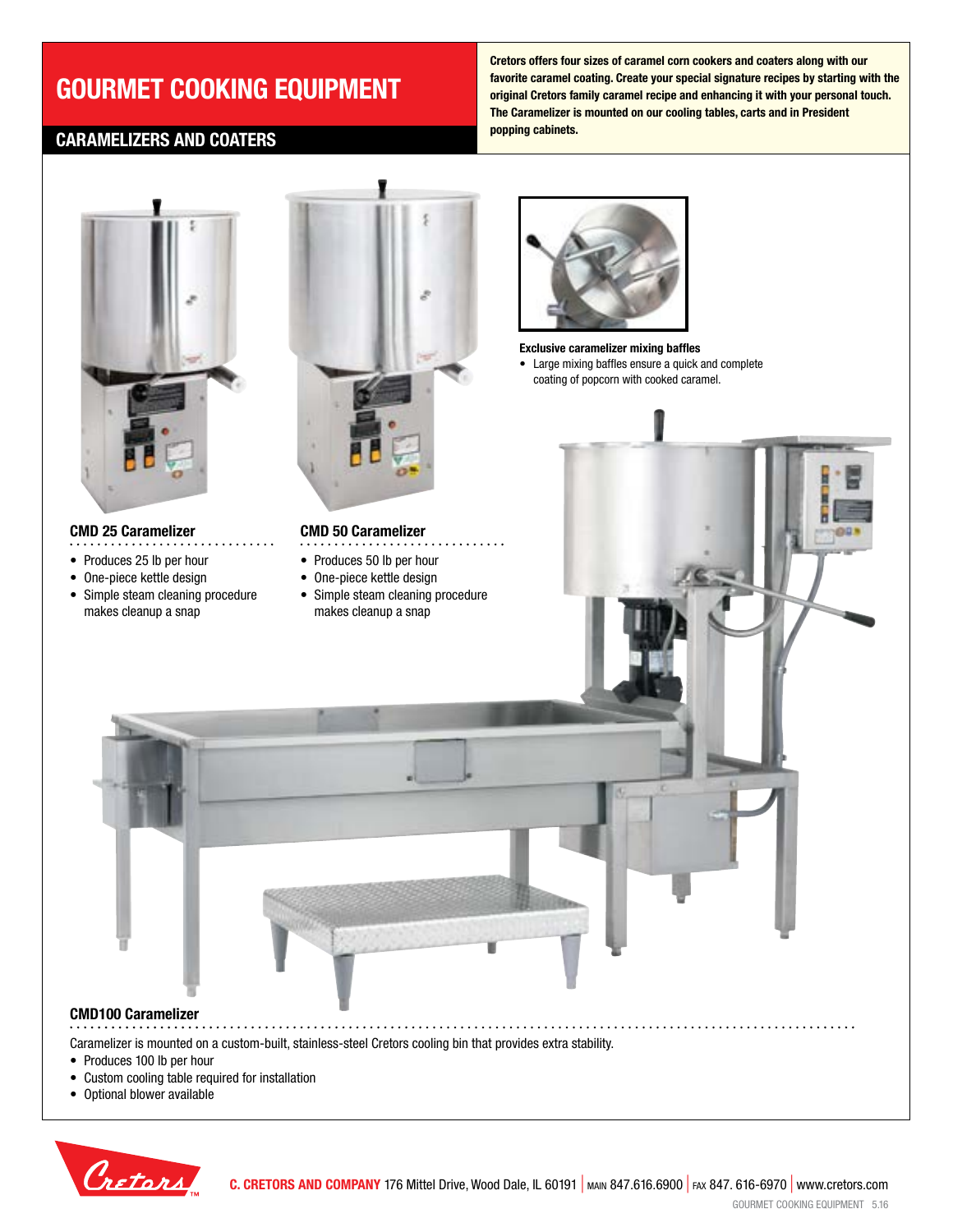# **GOURMET COOKING EQUIPMENT**

## **CARAMELIZERS AND COATERS**

**Cretors offers four sizes of caramel corn cookers and coaters along with our favorite caramel coating. Create your special signature recipes by starting with the original Cretors family caramel recipe and enhancing it with your personal touch. The Caramelizer is mounted on our cooling tables, carts and in President popping cabinets.**



### **CMD 25 Caramelizer**

- Produces 25 lb per hour
- One-piece kettle design
- Simple steam cleaning procedure makes cleanup a snap



### **CMD 50 Caramelizer**

- 
- Produces 50 lb per hour
- One-piece kettle design
- Simple steam cleaning procedure makes cleanup a snap





. . . . . . . . . . . . . . .



## **CMD100 Caramelizer**

Caramelizer is mounted on a custom-built, stainless-steel Cretors cooling bin that provides extra stability.

- Produces 100 lb per hour
- Custom cooling table required for installation
- Optional blower available

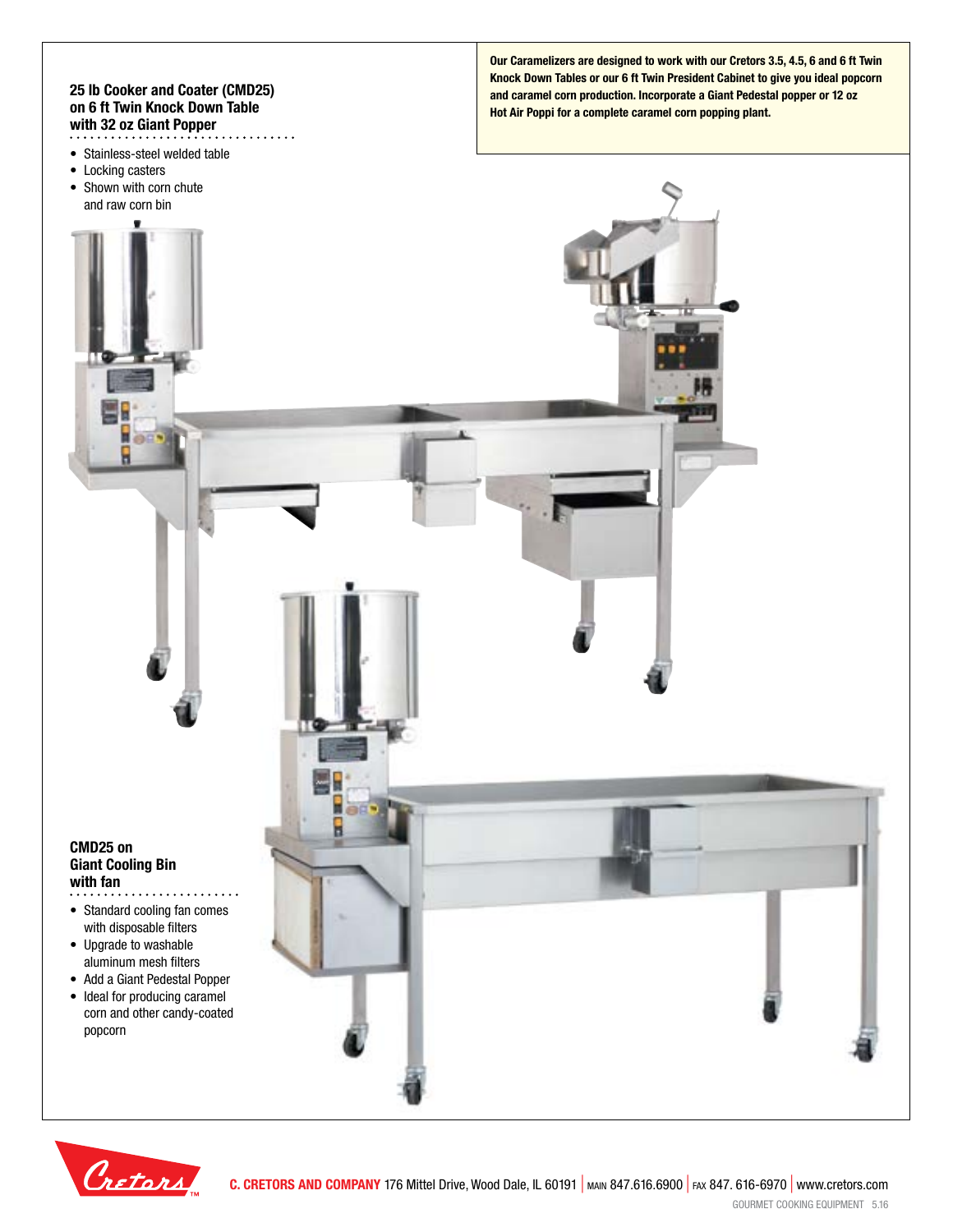#### **25 lb Cooker and Coater (CMD25) on 6 ft Twin Knock Down Table with 32 oz Giant Popper** . . . . . . . . .

- Stainless-steel welded table
- Locking casters
- Shown with corn chute and raw corn bin

**Our Caramelizers are designed to work with our Cretors 3.5, 4.5, 6 and 6 ft Twin Knock Down Tables or our 6 ft Twin President Cabinet to give you ideal popcorn and caramel corn production. Incorporate a Giant Pedestal popper or 12 oz Hot Air Poppi for a complete caramel corn popping plant.**

#### **CMD25 on Giant Cooling Bin with fan** . . . . . . . . . . . ..

- Standard cooling fan comes with disposable filters
- Upgrade to washable aluminum mesh filters
- Add a Giant Pedestal Popper
- Ideal for producing caramel corn and other candy-coated popcorn

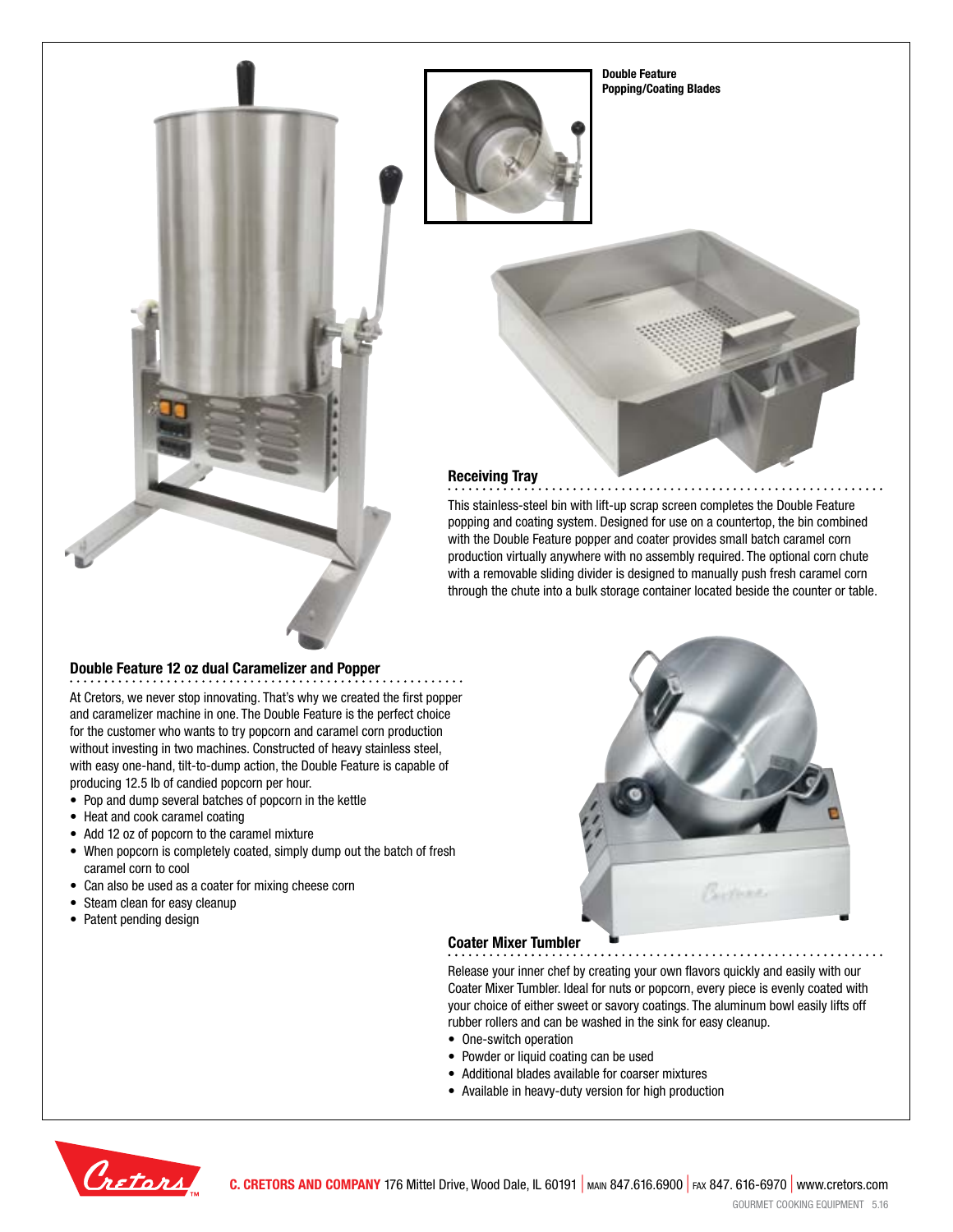**Double Feature Popping/Coating Blades**



## **Receiving Tray**

This stainless-steel bin with lift-up scrap screen completes the Double Feature popping and coating system. Designed for use on a countertop, the bin combined with the Double Feature popper and coater provides small batch caramel corn production virtually anywhere with no assembly required. The optional corn chute with a removable sliding divider is designed to manually push fresh caramel corn through the chute into a bulk storage container located beside the counter or table.

### **Double Feature 12 oz dual Caramelizer and Popper**

At Cretors, we never stop innovating. That's why we created the first popper and caramelizer machine in one. The Double Feature is the perfect choice for the customer who wants to try popcorn and caramel corn production without investing in two machines. Constructed of heavy stainless steel, with easy one-hand, tilt-to-dump action, the Double Feature is capable of producing 12.5 lb of candied popcorn per hour.

- Pop and dump several batches of popcorn in the kettle
- Heat and cook caramel coating
- Add 12 oz of popcorn to the caramel mixture
- When popcorn is completely coated, simply dump out the batch of fresh caramel corn to cool
- Can also be used as a coater for mixing cheese corn
- Steam clean for easy cleanup
- Patent pending design



### **Coater Mixer Tumbler**

Release your inner chef by creating your own flavors quickly and easily with our Coater Mixer Tumbler. Ideal for nuts or popcorn, every piece is evenly coated with your choice of either sweet or savory coatings. The aluminum bowl easily lifts off rubber rollers and can be washed in the sink for easy cleanup.

- One-switch operation
- Powder or liquid coating can be used
- Additional blades available for coarser mixtures
- Available in heavy-duty version for high production

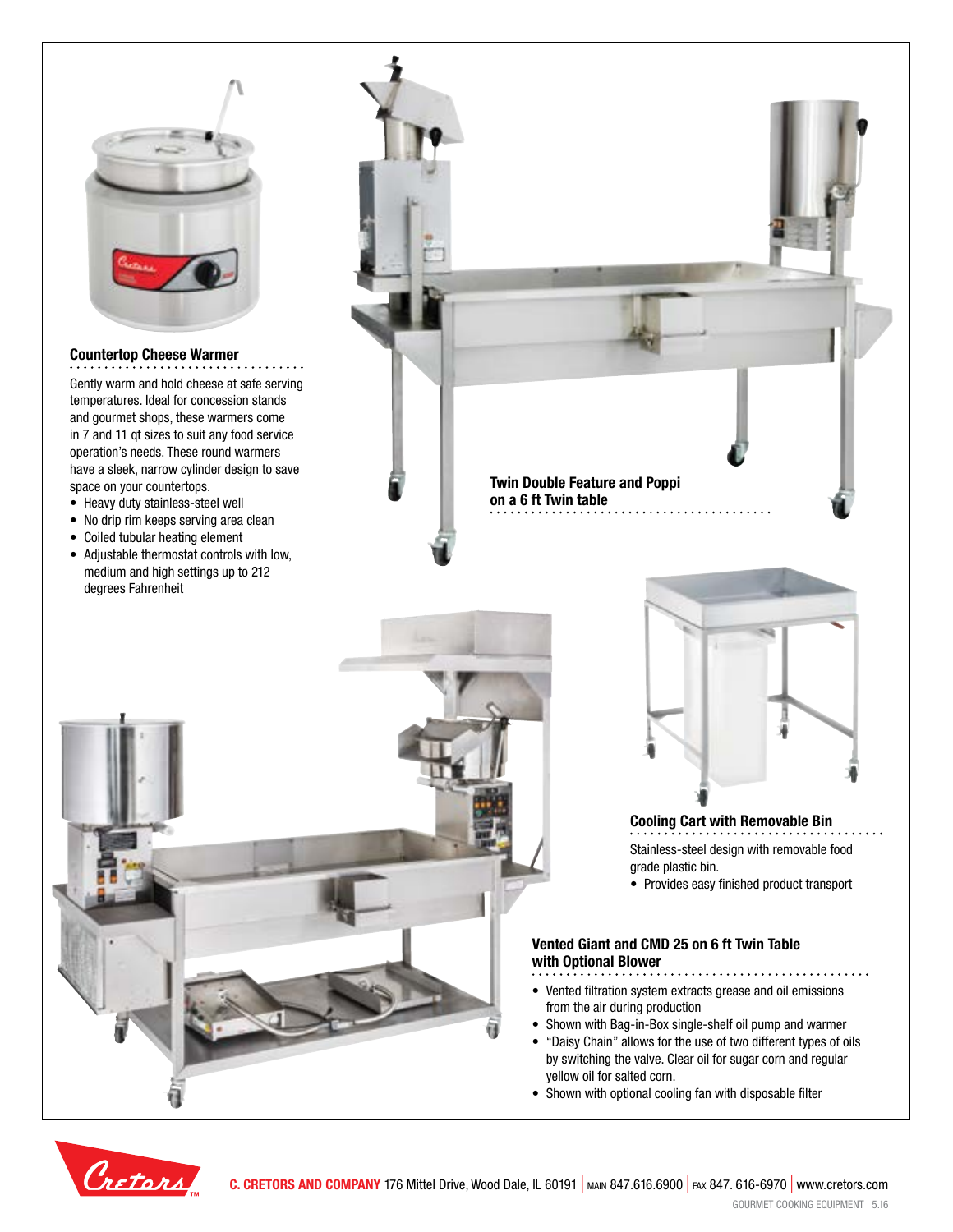

### **Countertop Cheese Warmer**

Gently warm and hold cheese at safe serving temperatures. Ideal for concession stands and gourmet shops, these warmers come in 7 and 11 qt sizes to suit any food service operation's needs. These round warmers have a sleek, narrow cylinder design to save space on your countertops.

- Heavy duty stainless-steel well
- No drip rim keeps serving area clean
- Coiled tubular heating element
- Adjustable thermostat controls with low, medium and high settings up to 212 degrees Fahrenheit

**Twin Double Feature and Poppi on a 6 ft Twin table**



## **Cooling Cart with Removable Bin**

Stainless-steel design with removable food grade plastic bin.

• Provides easy finished product transport

#### **Vented Giant and CMD 25 on 6 ft Twin Table with Optional Blower**

- Vented filtration system extracts grease and oil emissions from the air during production
- Shown with Bag-in-Box single-shelf oil pump and warmer
- "Daisy Chain" allows for the use of two different types of oils by switching the valve. Clear oil for sugar corn and regular yellow oil for salted corn.
- Shown with optional cooling fan with disposable filter

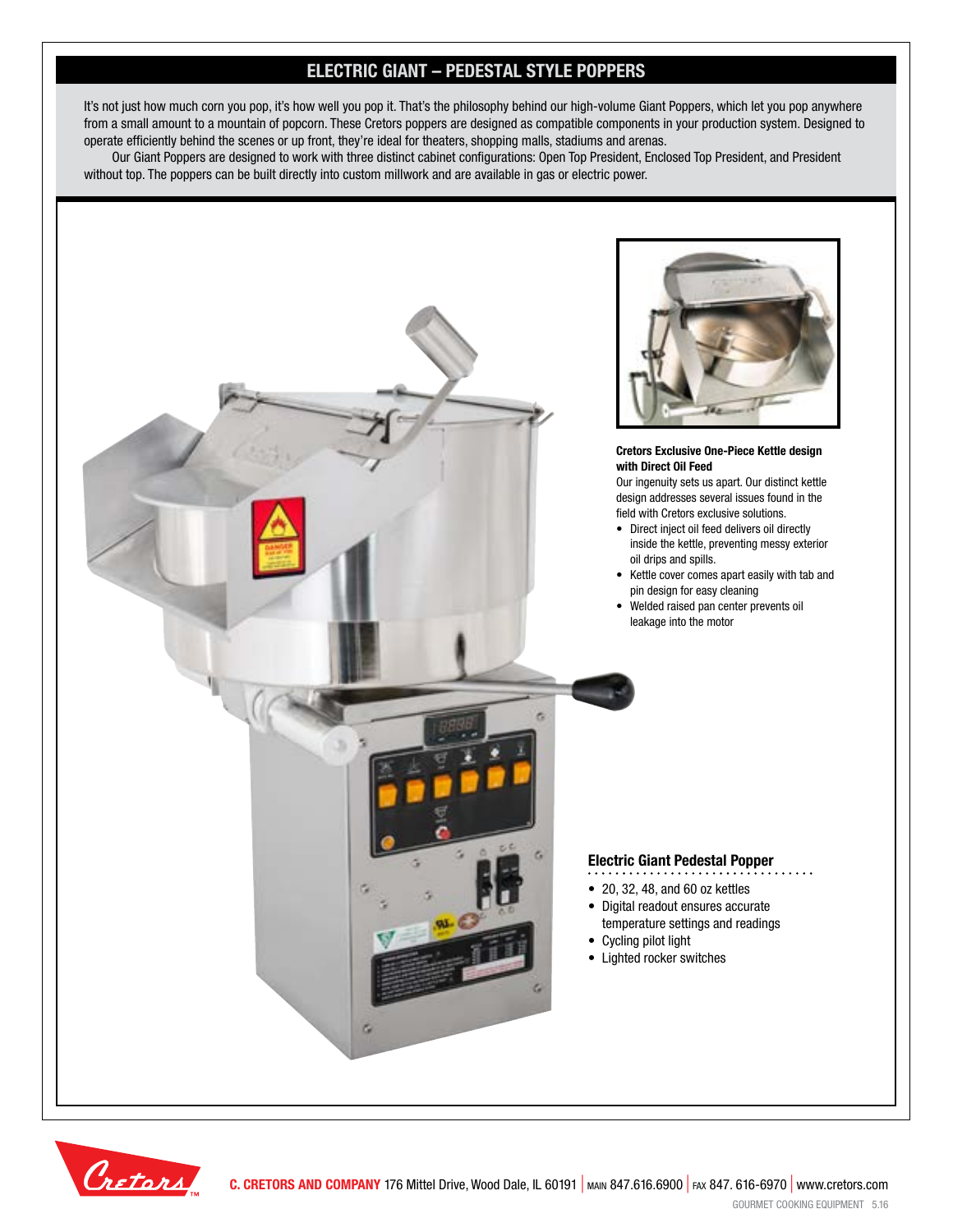## **ELECTRIC GIANT – PEDESTAL STYLE POPPERS**

It's not just how much corn you pop, it's how well you pop it. That's the philosophy behind our high-volume Giant Poppers, which let you pop anywhere from a small amount to a mountain of popcorn. These Cretors poppers are designed as compatible components in your production system. Designed to operate efficiently behind the scenes or up front, they're ideal for theaters, shopping malls, stadiums and arenas.

Our Giant Poppers are designed to work with three distinct cabinet configurations: Open Top President, Enclosed Top President, and President without top. The poppers can be built directly into custom millwork and are available in gas or electric power.



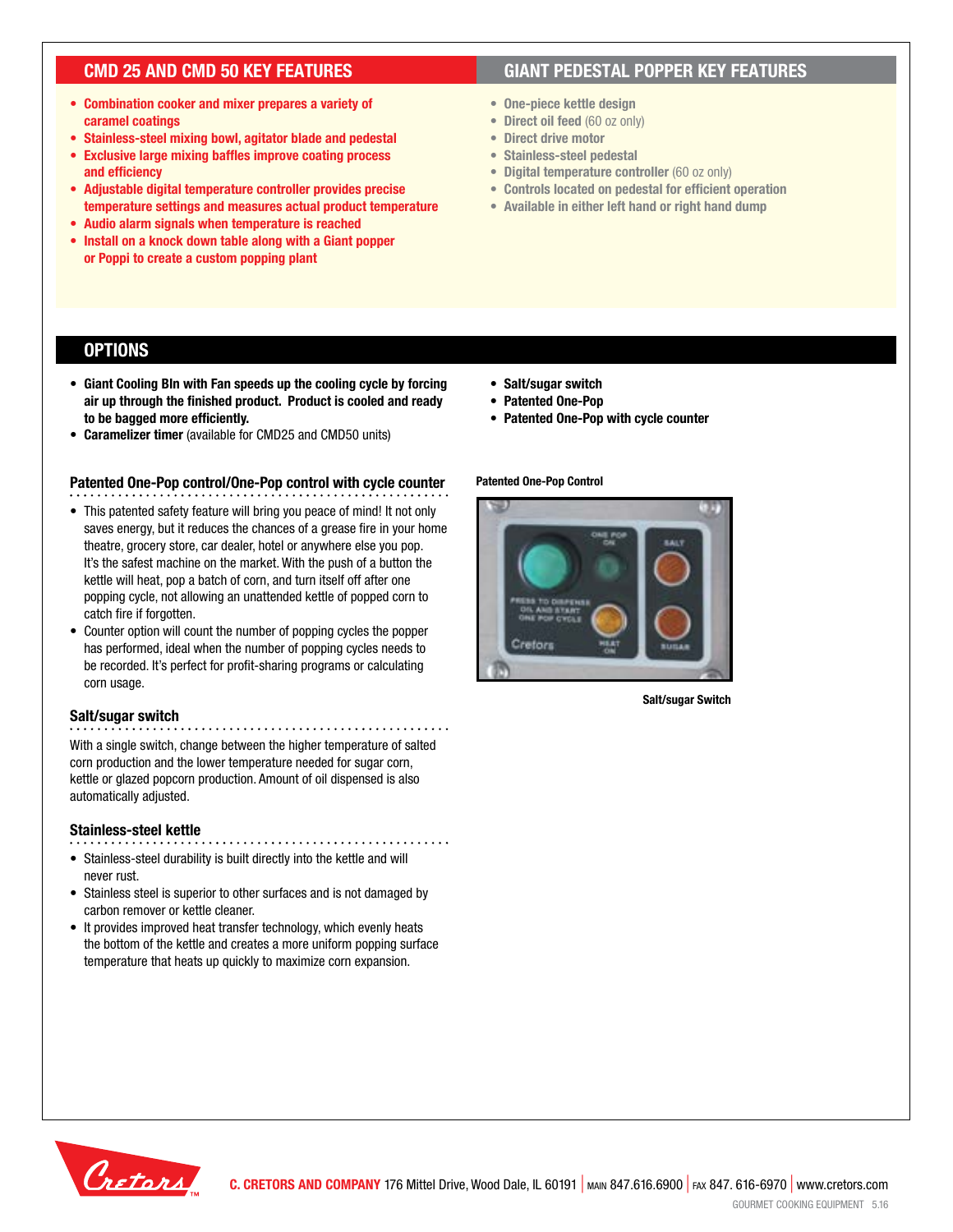## **CMD 25 AND CMD 50 KEY FEATURES**

- **• Combination cooker and mixer prepares a variety of caramel coatings**
- **• Stainless-steel mixing bowl, agitator blade and pedestal**
- **• Exclusive large mixing baffles improve coating process and efficiency**
- **• Adjustable digital temperature controller provides precise temperature settings and measures actual product temperature**
- **• Audio alarm signals when temperature is reached**
- **• Install on a knock down table along with a Giant popper or Poppi to create a custom popping plant**

## **GIANT PEDESTAL POPPER KEY FEATURES**

- **• One-piece kettle design**
- **• Direct oil feed** (60 oz only)
- **• Direct drive motor**
- **• Stainless-steel pedestal**
- **• Digital temperature controller** (60 oz only)
- **• Controls located on pedestal for efficient operation**
- **• Available in either left hand or right hand dump**

## **OPTIONS**

- **• Giant Cooling BIn with Fan speeds up the cooling cycle by forcing air up through the finished product. Product is cooled and ready to be bagged more efficiently.**
- **• Caramelizer timer** (available for CMD25 and CMD50 units)

### **Patented One-Pop control/One-Pop control with cycle counter**

- This patented safety feature will bring you peace of mind! It not only saves energy, but it reduces the chances of a grease fire in your home theatre, grocery store, car dealer, hotel or anywhere else you pop. It's the safest machine on the market. With the push of a button the kettle will heat, pop a batch of corn, and turn itself off after one popping cycle, not allowing an unattended kettle of popped corn to catch fire if forgotten.
- Counter option will count the number of popping cycles the popper has performed, ideal when the number of popping cycles needs to be recorded. It's perfect for profit-sharing programs or calculating corn usage.

### **Salt/sugar switch**

With a single switch, change between the higher temperature of salted corn production and the lower temperature needed for sugar corn, kettle or glazed popcorn production. Amount of oil dispensed is also automatically adjusted.

#### **Stainless-steel kettle**

- • Stainless-steel durability is built directly into the kettle and will never rust.
- Stainless steel is superior to other surfaces and is not damaged by carbon remover or kettle cleaner.
- It provides improved heat transfer technology, which evenly heats the bottom of the kettle and creates a more uniform popping surface temperature that heats up quickly to maximize corn expansion.
- **• Salt/sugar switch**
- **• Patented One-Pop**
- **• Patented One-Pop with cycle counter**

### **Patented One-Pop Control**



**Salt/sugar Switch**

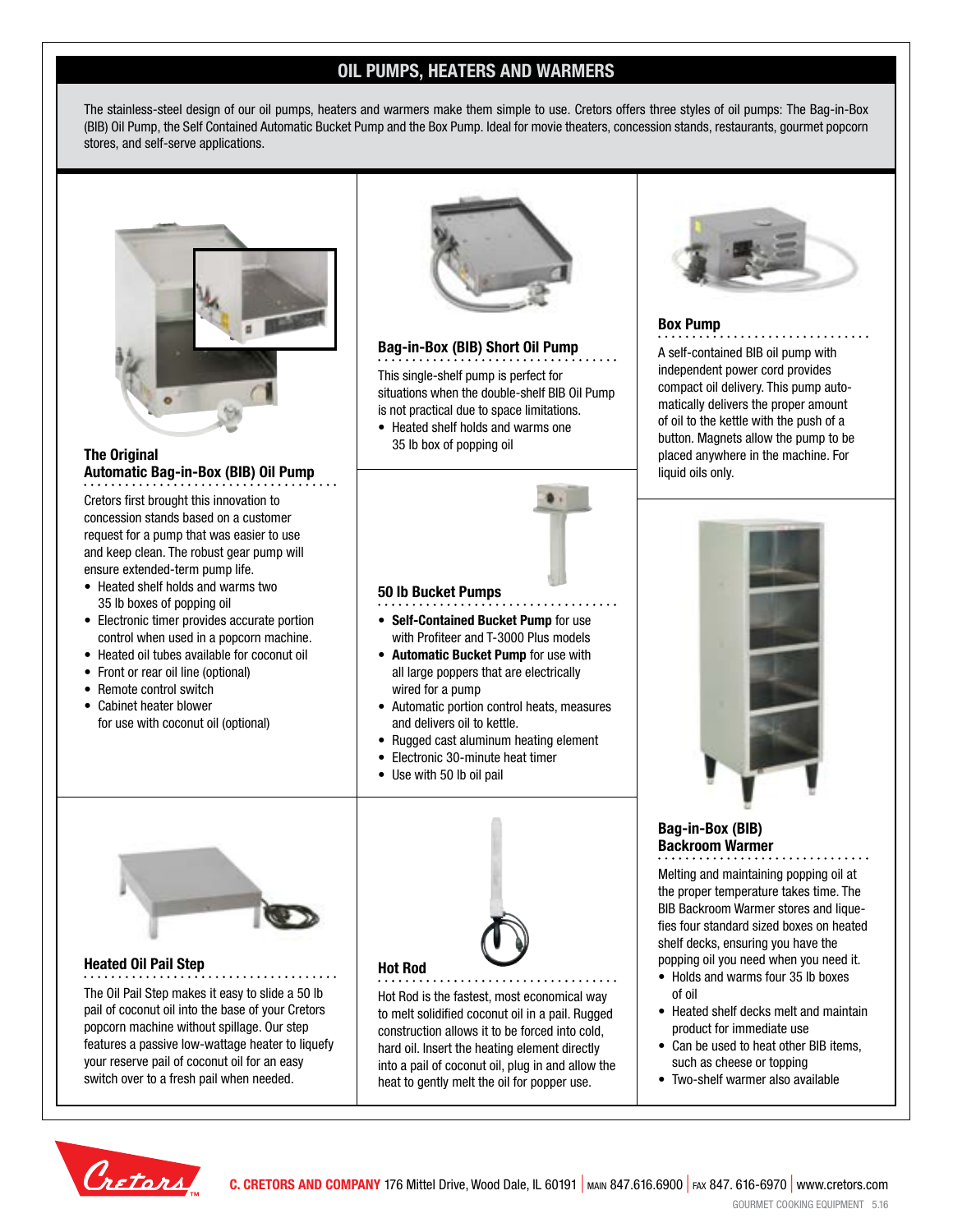## **OIL PUMPS, HEATERS AND WARMERS**

The stainless-steel design of our oil pumps, heaters and warmers make them simple to use. Cretors offers three styles of oil pumps: The Bag-in-Box (BIB) Oil Pump, the Self Contained Automatic Bucket Pump and the Box Pump. Ideal for movie theaters, concession stands, restaurants, gourmet popcorn stores, and self-serve applications.



### **The Original Automatic Bag-in-Box (BIB) Oil Pump**

Cretors first brought this innovation to concession stands based on a customer request for a pump that was easier to use and keep clean. The robust gear pump will ensure extended-term pump life.

- Heated shelf holds and warms two 35 lb boxes of popping oil
- Electronic timer provides accurate portion control when used in a popcorn machine.
- Heated oil tubes available for coconut oil
- Front or rear oil line (optional)
- Remote control switch
- Cabinet heater blower for use with coconut oil (optional)



### **Bag-in-Box (BIB) Short Oil Pump**

This single-shelf pump is perfect for situations when the double-shelf BIB Oil Pump is not practical due to space limitations.

• Heated shelf holds and warms one 35 lb box of popping oil

**• Self-Contained Bucket Pump** for use with Profiteer and T-3000 Plus models **• Automatic Bucket Pump** for use with all large poppers that are electrically

• Automatic portion control heats, measures

• Rugged cast aluminum heating element • Electronic 30-minute heat timer

**50 lb Bucket Pumps**

wired for a pump

• Use with 50 lb oil pail

and delivers oil to kettle.



### **Box Pump**

A self-contained BIB oil pump with independent power cord provides compact oil delivery. This pump automatically delivers the proper amount of oil to the kettle with the push of a button. Magnets allow the pump to be placed anywhere in the machine. For liquid oils only.



## **Bag-in-Box (BIB) Backroom Warmer**

Melting and maintaining popping oil at the proper temperature takes time. The BIB Backroom Warmer stores and liquefies four standard sized boxes on heated shelf decks, ensuring you have the popping oil you need when you need it.

- Holds and warms four 35 lb boxes of oil
- Heated shelf decks melt and maintain product for immediate use
- Can be used to heat other BIB items, such as cheese or topping
- Two-shelf warmer also available



### **Heated Oil Pail Step**

The Oil Pail Step makes it easy to slide a 50 lb pail of coconut oil into the base of your Cretors popcorn machine without spillage. Our step features a passive low-wattage heater to liquefy your reserve pail of coconut oil for an easy switch over to a fresh pail when needed.



Hot Rod is the fastest, most economical way to melt solidified coconut oil in a pail. Rugged construction allows it to be forced into cold, hard oil. Insert the heating element directly into a pail of coconut oil, plug in and allow the heat to gently melt the oil for popper use.

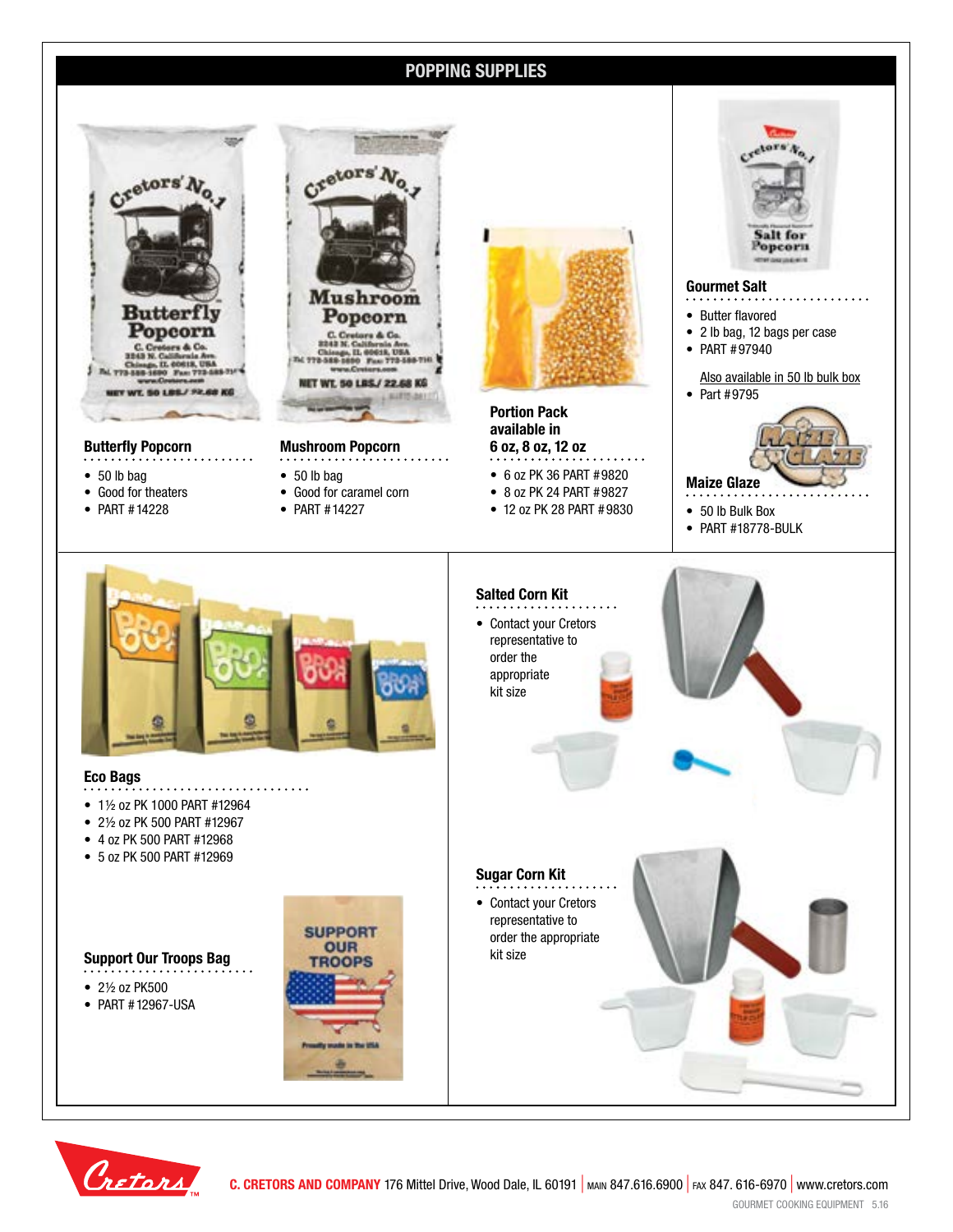## **POPPING SUPPLIES**



### **Butterfly Popcorn**

- 50 lb bag
- Good for theaters
- PART #14228



**Mushroom Popcorn**

- 50 lb bag
- Good for caramel corn
- PART #14227



**Portion Pack available in 6 oz, 8 oz, 12 oz**

- 6 oz PK 36 PART #9820
- 8 oz PK 24 PART #9827
- 12 oz PK 28 PART #9830
- 50 lb Bulk Box • PART #18778-BULK

**Gourmet Salt** • Butter flavored

• PART #97940

• Part #9795

**Maize Glaze**

• 2 lb bag, 12 bags per case

.tors

Salt for Popcorn

Also available in 50 lb bulk box



### **Eco Bags**

- • 1½ oz PK 1000 PART #12964
- 2½ oz PK 500 PART #12967
- 4 oz PK 500 PART #12968
- 5 oz PK 500 PART #12969

## **Support Our Troops Bag**<br> **Support Our Troops Bag**<br> **Example 2018**



- 2½ oz PK500
- PART #12967-USA

![](_page_7_Picture_27.jpeg)

![](_page_7_Picture_28.jpeg)

![](_page_7_Picture_29.jpeg)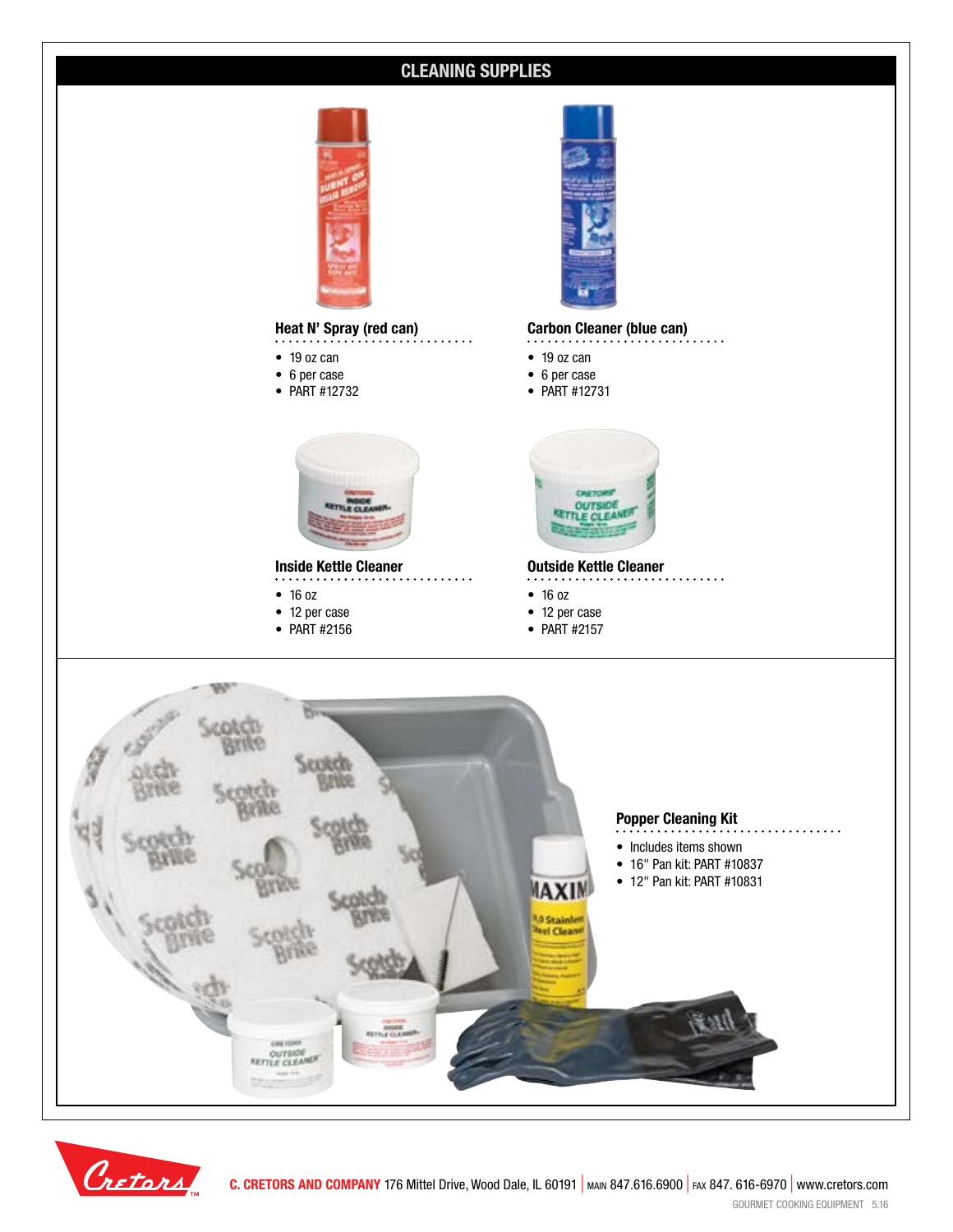![](_page_8_Picture_0.jpeg)

![](_page_8_Picture_1.jpeg)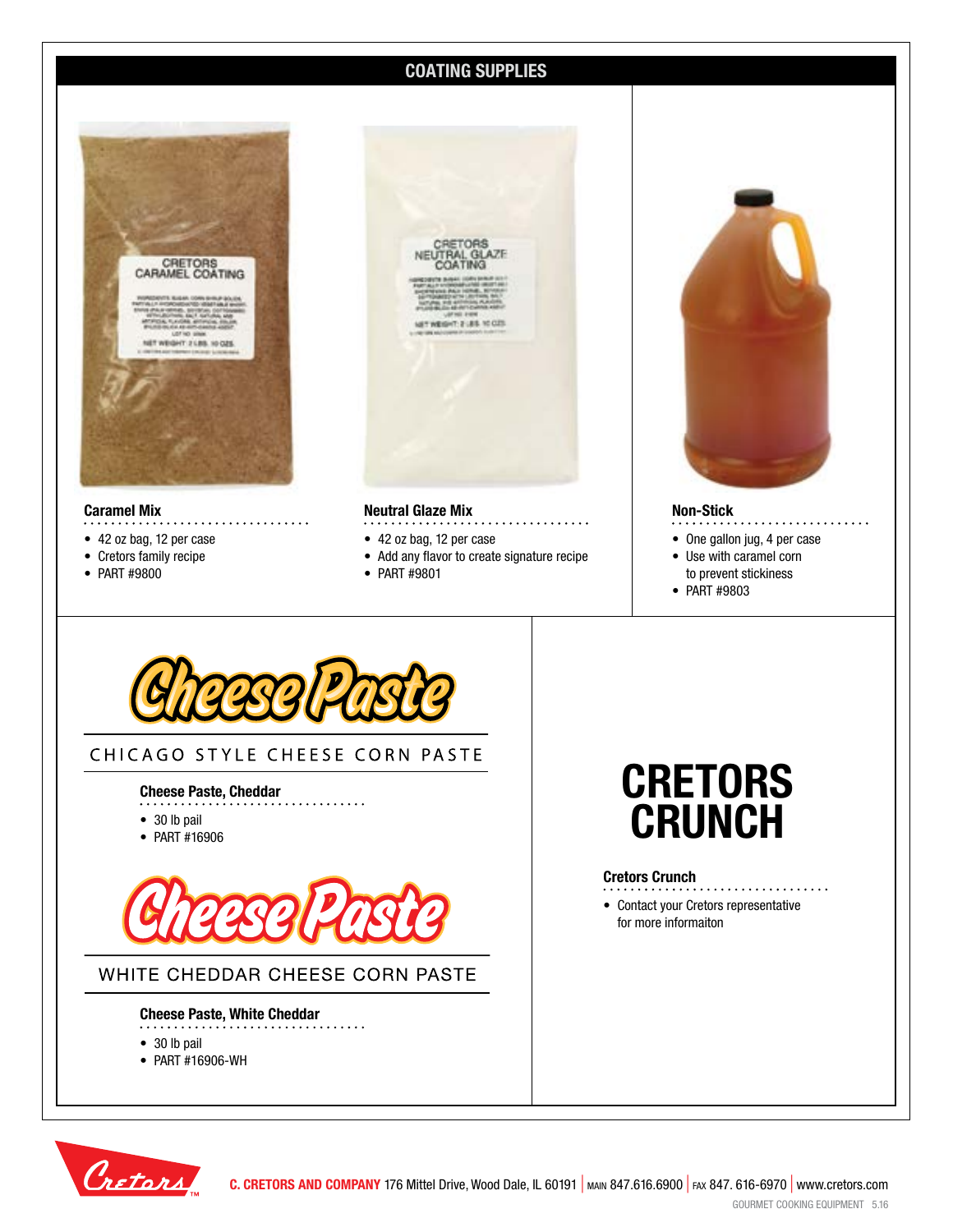## **COATING SUPPLIES**

![](_page_9_Picture_1.jpeg)

### **Caramel Mix**

- . . . . . . . . . . . . . .
- 42 oz bag, 12 per case
- Cretors family recipe
- PART #9800

![](_page_9_Picture_7.jpeg)

#### **Neutral Glaze Mix**

- 42 oz bag, 12 per case
- Add any flavor to create signature recipe
- PART #9801

![](_page_9_Picture_12.jpeg)

### **Non-Stick**

• One gallon jug, 4 per case

. . . . . . . . . . . . . . .

- Use with caramel corn
- to prevent stickiness
- PART #9803

![](_page_9_Picture_18.jpeg)

## CHICAGO STYLE CHEESE CORN PASTE

#### **Cheese Paste, Cheddar**

- . . . . . . . . .
- 30 lb pail
- PART #16906

![](_page_9_Picture_24.jpeg)

## WHITE CHEDDAR CHEESE CORN PASTE

 $\ldots$  . . .

#### **Cheese Paste, White Cheddar**

- 30 lb pail
- PART #16906-WH

![](_page_9_Picture_29.jpeg)

### **Cretors Crunch**

• Contact your Cretors representative for more informaiton

. . . . . . . . . . . . . . . . .

![](_page_9_Picture_32.jpeg)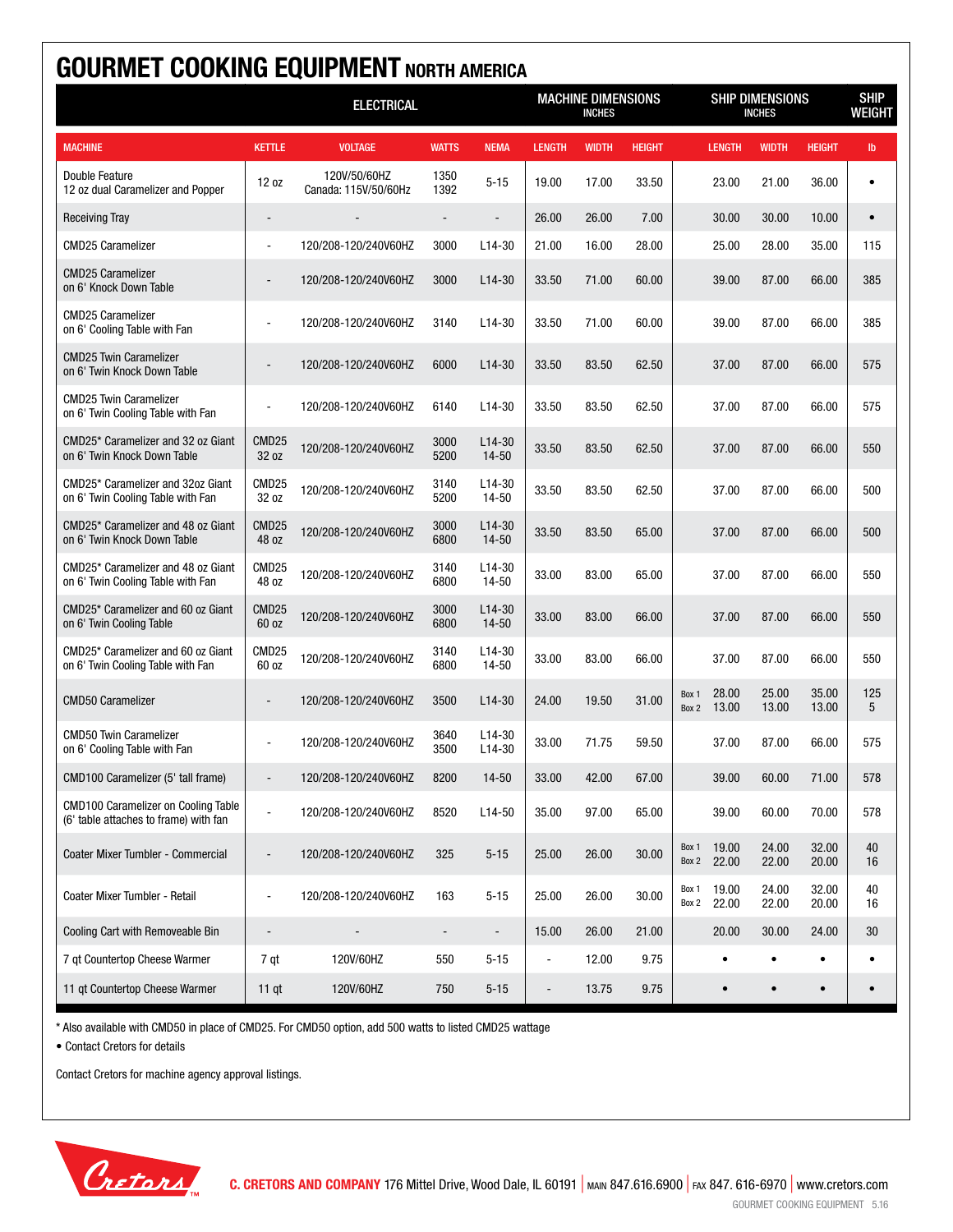| <b>GOURMET COOKING EQUIPMENT NORTH AMERICA</b>                                      |                            |                                      |              |                                            |                          |                                  |               |                |                |                              |                |               |
|-------------------------------------------------------------------------------------|----------------------------|--------------------------------------|--------------|--------------------------------------------|--------------------------|----------------------------------|---------------|----------------|----------------|------------------------------|----------------|---------------|
|                                                                                     |                            | <b>ELECTRICAL</b>                    |              | <b>MACHINE DIMENSIONS</b><br><b>INCHES</b> |                          | SHIP DIMENSIONS<br><b>INCHES</b> |               |                |                | <b>SHIP</b><br><b>WEIGHT</b> |                |               |
| <b>MACHINE</b>                                                                      | <b>KETTLE</b>              | <b>VOLTAGE</b>                       | <b>WATTS</b> | <b>NEMA</b>                                | <b>LENGTH</b>            | <b>WIDTH</b>                     | <b>HEIGHT</b> |                | <b>LENGTH</b>  | <b>WIDTH</b>                 | <b>HEIGHT</b>  | $\mathsf{lb}$ |
| Double Feature<br>12 oz dual Caramelizer and Popper                                 | 12 oz                      | 120V/50/60HZ<br>Canada: 115V/50/60Hz | 1350<br>1392 | $5 - 15$                                   | 19.00                    | 17.00                            | 33.50         |                | 23.00          | 21.00                        | 36.00          |               |
| <b>Receiving Tray</b>                                                               | $\overline{\phantom{a}}$   |                                      |              | $\overline{a}$                             | 26.00                    | 26.00                            | 7.00          |                | 30.00          | 30.00                        | 10.00          | $\bullet$     |
| <b>CMD25 Caramelizer</b>                                                            | $\overline{a}$             | 120/208-120/240V60HZ                 | 3000         | $L14-30$                                   | 21.00                    | 16.00                            | 28.00         |                | 25.00          | 28.00                        | 35.00          | 115           |
| <b>CMD25 Caramelizer</b><br>on 6' Knock Down Table                                  |                            | 120/208-120/240V60HZ                 | 3000         | $L14-30$                                   | 33.50                    | 71.00                            | 60.00         |                | 39.00          | 87.00                        | 66.00          | 385           |
| <b>CMD25 Caramelizer</b><br>on 6' Cooling Table with Fan                            |                            | 120/208-120/240V60HZ                 | 3140         | L <sub>14</sub> -30                        | 33.50                    | 71.00                            | 60.00         |                | 39.00          | 87.00                        | 66.00          | 385           |
| <b>CMD25 Twin Caramelizer</b><br>on 6' Twin Knock Down Table                        |                            | 120/208-120/240V60HZ                 | 6000         | $L14-30$                                   | 33.50                    | 83.50                            | 62.50         |                | 37.00          | 87.00                        | 66.00          | 575           |
| <b>CMD25 Twin Caramelizer</b><br>on 6' Twin Cooling Table with Fan                  |                            | 120/208-120/240V60HZ                 | 6140         | $L14-30$                                   | 33.50                    | 83.50                            | 62.50         |                | 37.00          | 87.00                        | 66.00          | 575           |
| CMD25* Caramelizer and 32 oz Giant<br>on 6' Twin Knock Down Table                   | CMD <sub>25</sub><br>32 oz | 120/208-120/240V60HZ                 | 3000<br>5200 | $L14-30$<br>$14 - 50$                      | 33.50                    | 83.50                            | 62.50         |                | 37.00          | 87.00                        | 66.00          | 550           |
| CMD25* Caramelizer and 32oz Giant<br>on 6' Twin Cooling Table with Fan              | CMD <sub>25</sub><br>32 oz | 120/208-120/240V60HZ                 | 3140<br>5200 | $L14-30$<br>14-50                          | 33.50                    | 83.50                            | 62.50         |                | 37.00          | 87.00                        | 66.00          | 500           |
| CMD25* Caramelizer and 48 oz Giant<br>on 6' Twin Knock Down Table                   | CMD <sub>25</sub><br>48 oz | 120/208-120/240V60HZ                 | 3000<br>6800 | $L14-30$<br>14-50                          | 33.50                    | 83.50                            | 65.00         |                | 37.00          | 87.00                        | 66.00          | 500           |
| CMD25* Caramelizer and 48 oz Giant<br>on 6' Twin Cooling Table with Fan             | CMD <sub>25</sub><br>48 oz | 120/208-120/240V60HZ                 | 3140<br>6800 | $L14-30$<br>14-50                          | 33.00                    | 83.00                            | 65.00         |                | 37.00          | 87.00                        | 66.00          | 550           |
| CMD25* Caramelizer and 60 oz Giant<br>on 6' Twin Cooling Table                      | CMD <sub>25</sub><br>60 oz | 120/208-120/240V60HZ                 | 3000<br>6800 | $L14-30$<br>$14 - 50$                      | 33.00                    | 83.00                            | 66.00         |                | 37.00          | 87.00                        | 66.00          | 550           |
| CMD25* Caramelizer and 60 oz Giant<br>on 6' Twin Cooling Table with Fan             | CMD <sub>25</sub><br>60 oz | 120/208-120/240V60HZ                 | 3140<br>6800 | $L14-30$<br>14-50                          | 33.00                    | 83.00                            | 66.00         |                | 37.00          | 87.00                        | 66.00          | 550           |
| <b>CMD50 Caramelizer</b>                                                            |                            | 120/208-120/240V60HZ                 | 3500         | $L14-30$                                   | 24.00                    | 19.50                            | 31.00         | Box 1<br>Box 2 | 28.00<br>13.00 | 25.00<br>13.00               | 35.00<br>13.00 | 125<br>5      |
| <b>CMD50 Twin Caramelizer</b><br>on 6' Cooling Table with Fan                       |                            | 120/208-120/240V60HZ                 | 3640<br>3500 | $L14-30$<br>L <sub>14</sub> -30            | 33.00                    | 71.75                            | 59.50         |                | 37.00          | 87.00                        | 66.00          | 575           |
| CMD100 Caramelizer (5' tall frame)                                                  |                            | 120/208-120/240V60HZ                 | 8200         | $14 - 50$                                  | 33.00                    | 42.00                            | 67.00         |                | 39.00          | 60.00                        | 71.00          | 578           |
| <b>CMD100 Caramelizer on Cooling Table</b><br>(6' table attaches to frame) with fan | $\blacksquare$             | 120/208-120/240V60HZ                 | 8520         | $L14-50$                                   | 35.00                    | 97.00                            | 65.00         |                | 39.00          | 60.00                        | 70.00          | 578           |
| Coater Mixer Tumbler - Commercial                                                   |                            | 120/208-120/240V60HZ                 | 325          | $5 - 15$                                   | 25.00                    | 26.00                            | 30.00         | Box 1<br>Box 2 | 19.00<br>22.00 | 24.00<br>22.00               | 32.00<br>20.00 | 40<br>16      |
| Coater Mixer Tumbler - Retail                                                       | $\sim$                     | 120/208-120/240V60HZ                 | 163          | $5 - 15$                                   | 25.00                    | 26.00                            | 30.00         | Box 1<br>Box 2 | 19.00<br>22.00 | 24.00<br>22.00               | 32.00<br>20.00 | 40<br>16      |
| Cooling Cart with Removeable Bin                                                    | $\overline{\phantom{a}}$   |                                      |              |                                            | 15.00                    | 26.00                            | 21.00         |                | 20.00          | 30.00                        | 24.00          | 30            |
| 7 qt Countertop Cheese Warmer                                                       | 7 qt                       | 120V/60HZ                            | 550          | $5 - 15$                                   | ÷,                       | 12.00                            | 9.75          |                | $\bullet$      | ٠                            | $\bullet$      | $\bullet$     |
| 11 gt Countertop Cheese Warmer                                                      | $11$ qt                    | 120V/60HZ                            | 750          | $5 - 15$                                   | $\overline{\phantom{m}}$ | 13.75                            | 9.75          |                | $\bullet$      | $\bullet$                    | $\bullet$      |               |

\* Also available with CMD50 in place of CMD25. For CMD50 option, add 500 watts to listed CMD25 wattage

• Contact Cretors for details

![](_page_10_Picture_4.jpeg)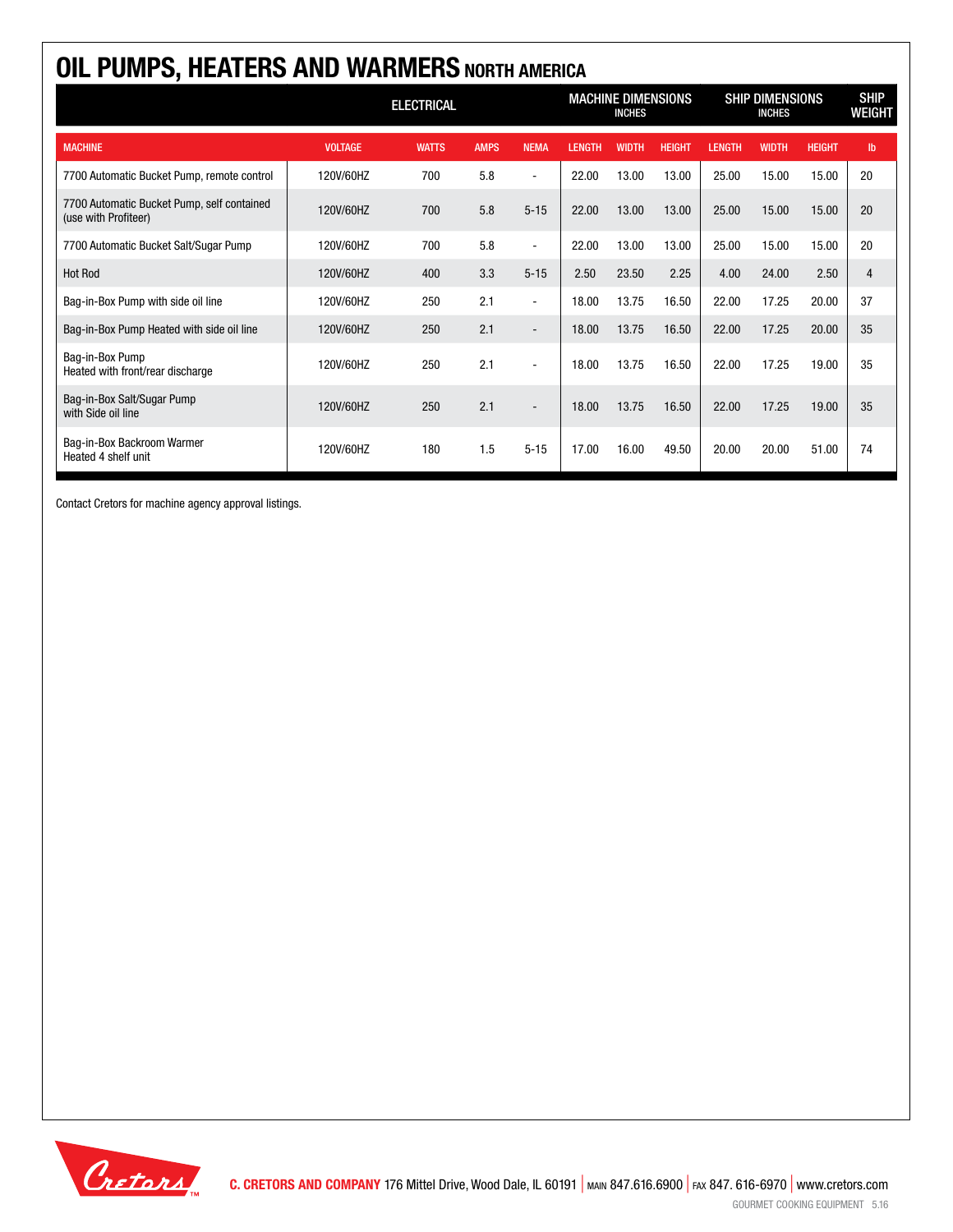| OIL PUMPS, HEATERS AND WARMERS NORTH AMERICA                       |                   |              |             |                          |                                            |              |               |                                         |              |               |                              |  |
|--------------------------------------------------------------------|-------------------|--------------|-------------|--------------------------|--------------------------------------------|--------------|---------------|-----------------------------------------|--------------|---------------|------------------------------|--|
|                                                                    | <b>ELECTRICAL</b> |              |             |                          | <b>MACHINE DIMENSIONS</b><br><b>INCHES</b> |              |               | <b>SHIP DIMENSIONS</b><br><b>INCHES</b> |              |               | <b>SHIP</b><br><b>WEIGHT</b> |  |
| <b>MACHINE</b>                                                     | <b>VOLTAGE</b>    | <b>WATTS</b> | <b>AMPS</b> | <b>NEMA</b>              | <b>LENGTH</b>                              | <b>WIDTH</b> | <b>HEIGHT</b> | <b>LENGTH</b>                           | <b>WIDTH</b> | <b>HEIGHT</b> | $\mathbf{I}$                 |  |
| 7700 Automatic Bucket Pump, remote control                         | 120V/60HZ         | 700          | 5.8         | $\blacksquare$           | 22.00                                      | 13.00        | 13.00         | 25.00                                   | 15.00        | 15.00         | 20                           |  |
| 7700 Automatic Bucket Pump, self contained<br>(use with Profiteer) | 120V/60HZ         | 700          | 5.8         | $5 - 15$                 | 22.00                                      | 13.00        | 13.00         | 25.00                                   | 15.00        | 15.00         | 20                           |  |
| 7700 Automatic Bucket Salt/Sugar Pump                              | 120V/60HZ         | 700          | 5.8         | $\overline{\phantom{a}}$ | 22.00                                      | 13.00        | 13.00         | 25.00                                   | 15.00        | 15.00         | 20                           |  |
| <b>Hot Rod</b>                                                     | 120V/60HZ         | 400          | 3.3         | $5 - 15$                 | 2.50                                       | 23.50        | 2.25          | 4.00                                    | 24.00        | 2.50          | $\overline{4}$               |  |
| Bag-in-Box Pump with side oil line                                 | 120V/60HZ         | 250          | 2.1         | $\blacksquare$           | 18.00                                      | 13.75        | 16.50         | 22.00                                   | 17.25        | 20.00         | 37                           |  |
| Bag-in-Box Pump Heated with side oil line                          | 120V/60HZ         | 250          | 2.1         | $\overline{\phantom{a}}$ | 18.00                                      | 13.75        | 16.50         | 22.00                                   | 17.25        | 20.00         | 35                           |  |
| Bag-in-Box Pump<br>Heated with front/rear discharge                | 120V/60HZ         | 250          | 2.1         |                          | 18.00                                      | 13.75        | 16.50         | 22.00                                   | 17.25        | 19.00         | 35                           |  |
| Bag-in-Box Salt/Sugar Pump<br>with Side oil line                   | 120V/60HZ         | 250          | 2.1         |                          | 18.00                                      | 13.75        | 16.50         | 22.00                                   | 17.25        | 19.00         | 35                           |  |
| Bag-in-Box Backroom Warmer<br>Heated 4 shelf unit                  | 120V/60HZ         | 180          | 1.5         | $5 - 15$                 | 17.00                                      | 16.00        | 49.50         | 20.00                                   | 20.00        | 51.00         | 74                           |  |

![](_page_11_Picture_2.jpeg)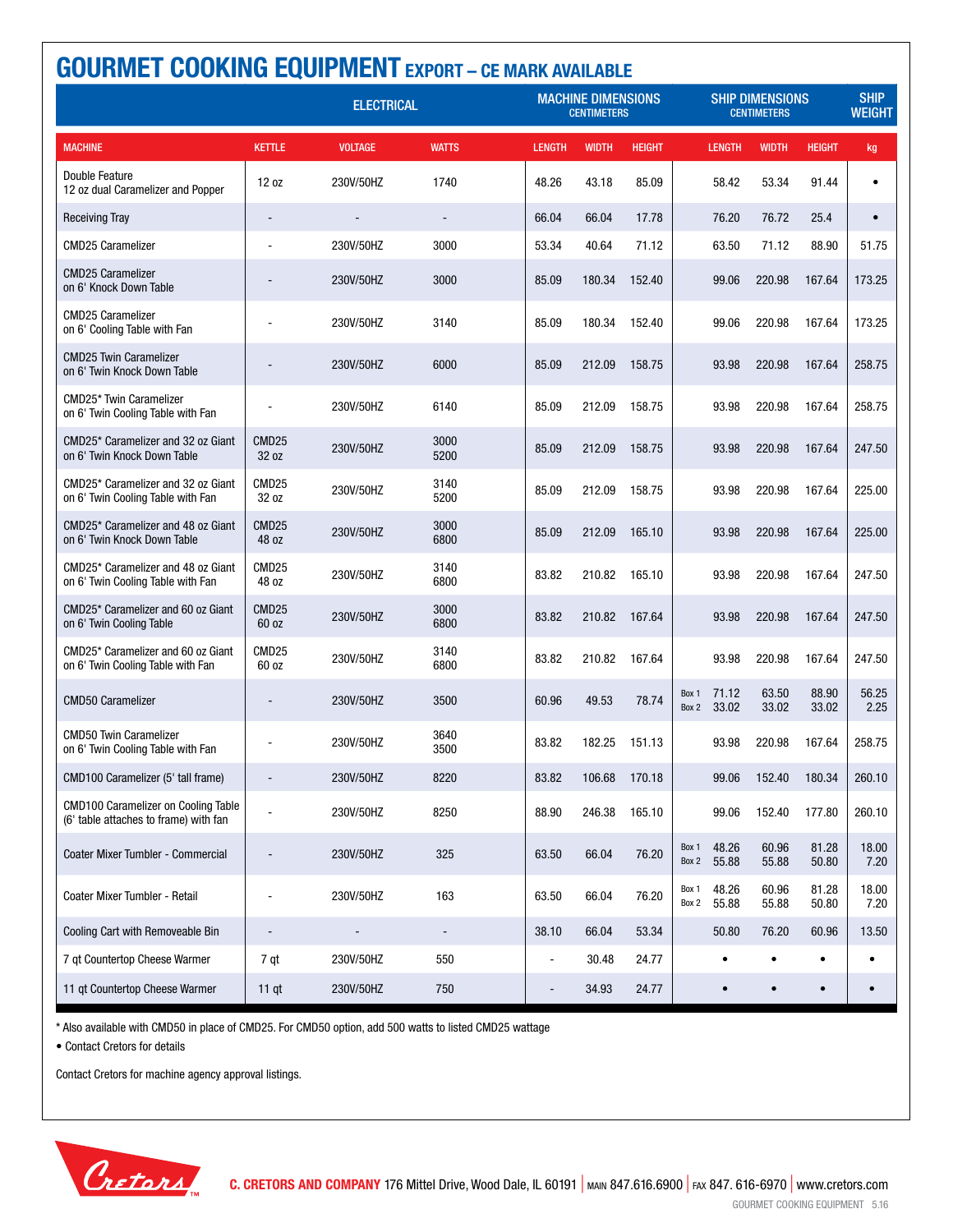| <b>GOURMET COOKING EQUIPMENT EXPORT - CE MARK AVAILABLE</b>                         |                            |                   |                          |  |                                                 |                                              |               |                |                |                              |                |               |
|-------------------------------------------------------------------------------------|----------------------------|-------------------|--------------------------|--|-------------------------------------------------|----------------------------------------------|---------------|----------------|----------------|------------------------------|----------------|---------------|
|                                                                                     |                            | <b>ELECTRICAL</b> |                          |  | <b>MACHINE DIMENSIONS</b><br><b>CENTIMETERS</b> | <b>SHIP DIMENSIONS</b><br><b>CENTIMETERS</b> |               |                |                | <b>SHIP</b><br><b>WEIGHT</b> |                |               |
| <b>MACHINE</b>                                                                      | <b>KETTLE</b>              | <b>VOLTAGE</b>    | <b>WATTS</b>             |  | <b>LENGTH</b>                                   | <b>WIDTH</b>                                 | <b>HEIGHT</b> |                | <b>LENGTH</b>  | <b>WIDTH</b>                 | <b>HEIGHT</b>  | kg            |
| Double Feature<br>12 oz dual Caramelizer and Popper                                 | 12 oz                      | 230V/50HZ         | 1740                     |  | 48.26                                           | 43.18                                        | 85.09         |                | 58.42          | 53.34                        | 91.44          | $\bullet$     |
| <b>Receiving Tray</b>                                                               | $\overline{\phantom{a}}$   |                   | $\overline{\phantom{a}}$ |  | 66.04                                           | 66.04                                        | 17.78         |                | 76.20          | 76.72                        | 25.4           | $\bullet$     |
| <b>CMD25 Caramelizer</b>                                                            | $\blacksquare$             | 230V/50HZ         | 3000                     |  | 53.34                                           | 40.64                                        | 71.12         |                | 63.50          | 71.12                        | 88.90          | 51.75         |
| <b>CMD25 Caramelizer</b><br>on 6' Knock Down Table                                  |                            | 230V/50HZ         | 3000                     |  | 85.09                                           | 180.34                                       | 152.40        |                | 99.06          | 220.98                       | 167.64         | 173.25        |
| <b>CMD25 Caramelizer</b><br>on 6' Cooling Table with Fan                            |                            | 230V/50HZ         | 3140                     |  | 85.09                                           | 180.34                                       | 152.40        |                | 99.06          | 220.98                       | 167.64         | 173.25        |
| <b>CMD25 Twin Caramelizer</b><br>on 6' Twin Knock Down Table                        |                            | 230V/50HZ         | 6000                     |  | 85.09                                           | 212.09                                       | 158.75        |                | 93.98          | 220.98                       | 167.64         | 258.75        |
| CMD25* Twin Caramelizer<br>on 6' Twin Cooling Table with Fan                        |                            | 230V/50HZ         | 6140                     |  | 85.09                                           | 212.09                                       | 158.75        |                | 93.98          | 220.98                       | 167.64         | 258.75        |
| CMD25* Caramelizer and 32 oz Giant<br>on 6' Twin Knock Down Table                   | CMD <sub>25</sub><br>32 oz | 230V/50HZ         | 3000<br>5200             |  | 85.09                                           | 212.09                                       | 158.75        |                | 93.98          | 220.98                       | 167.64         | 247.50        |
| CMD25* Caramelizer and 32 oz Giant<br>on 6' Twin Cooling Table with Fan             | CMD <sub>25</sub><br>32 oz | 230V/50HZ         | 3140<br>5200             |  | 85.09                                           | 212.09                                       | 158.75        |                | 93.98          | 220.98                       | 167.64         | 225.00        |
| CMD25* Caramelizer and 48 oz Giant<br>on 6' Twin Knock Down Table                   | CMD <sub>25</sub><br>48 oz | 230V/50HZ         | 3000<br>6800             |  | 85.09                                           | 212.09                                       | 165.10        |                | 93.98          | 220.98                       | 167.64         | 225.00        |
| CMD25* Caramelizer and 48 oz Giant<br>on 6' Twin Cooling Table with Fan             | CMD <sub>25</sub><br>48 oz | 230V/50HZ         | 3140<br>6800             |  | 83.82                                           | 210.82                                       | 165.10        |                | 93.98          | 220.98                       | 167.64         | 247.50        |
| CMD25* Caramelizer and 60 oz Giant<br>on 6' Twin Cooling Table                      | CMD <sub>25</sub><br>60 oz | 230V/50HZ         | 3000<br>6800             |  | 83.82                                           | 210.82                                       | 167.64        |                | 93.98          | 220.98                       | 167.64         | 247.50        |
| CMD25* Caramelizer and 60 oz Giant<br>on 6' Twin Cooling Table with Fan             | CMD <sub>25</sub><br>60 oz | 230V/50HZ         | 3140<br>6800             |  | 83.82                                           | 210.82                                       | 167.64        |                | 93.98          | 220.98                       | 167.64         | 247.50        |
| <b>CMD50 Caramelizer</b>                                                            |                            | 230V/50HZ         | 3500                     |  | 60.96                                           | 49.53                                        | 78.74         | Box 1<br>Box 2 | 71.12<br>33.02 | 63.50<br>33.02               | 88.90<br>33.02 | 56.25<br>2.25 |
| <b>CMD50 Twin Caramelizer</b><br>on 6' Twin Cooling Table with Fan                  |                            | 230V/50HZ         | 3640<br>3500             |  | 83.82                                           | 182.25                                       | 151.13        |                | 93.98          | 220.98                       | 167.64         | 258.75        |
| CMD100 Caramelizer (5' tall frame)                                                  |                            | 230V/50HZ         | 8220                     |  | 83.82                                           | 106.68                                       | 170.18        |                | 99.06          | 152.40                       | 180.34         | 260.10        |
| <b>CMD100 Caramelizer on Cooling Table</b><br>(6' table attaches to frame) with fan | L.                         | 230V/50HZ         | 8250                     |  | 88.90                                           | 246.38                                       | 165.10        |                | 99.06          | 152.40                       | 177.80         | 260.10        |
| Coater Mixer Tumbler - Commercial                                                   |                            | 230V/50HZ         | 325                      |  | 63.50                                           | 66.04                                        | 76.20         | Box 1<br>Box 2 | 48.26<br>55.88 | 60.96<br>55.88               | 81.28<br>50.80 | 18.00<br>7.20 |
| Coater Mixer Tumbler - Retail                                                       |                            | 230V/50HZ         | 163                      |  | 63.50                                           | 66.04                                        | 76.20         | Box 1<br>Box 2 | 48.26<br>55.88 | 60.96<br>55.88               | 81.28<br>50.80 | 18.00<br>7.20 |
| Cooling Cart with Removeable Bin                                                    |                            |                   |                          |  | 38.10                                           | 66.04                                        | 53.34         |                | 50.80          | 76.20                        | 60.96          | 13.50         |
| 7 gt Countertop Cheese Warmer                                                       | 7 qt                       | 230V/50HZ         | 550                      |  |                                                 | 30.48                                        | 24.77         |                |                |                              | ٠              | $\bullet$     |
| 11 qt Countertop Cheese Warmer                                                      | $11$ qt                    | 230V/50HZ         | 750                      |  |                                                 | 34.93                                        | 24.77         |                |                |                              | $\bullet$      | $\bullet$     |

\* Also available with CMD50 in place of CMD25. For CMD50 option, add 500 watts to listed CMD25 wattage

• Contact Cretors for details

![](_page_12_Picture_4.jpeg)